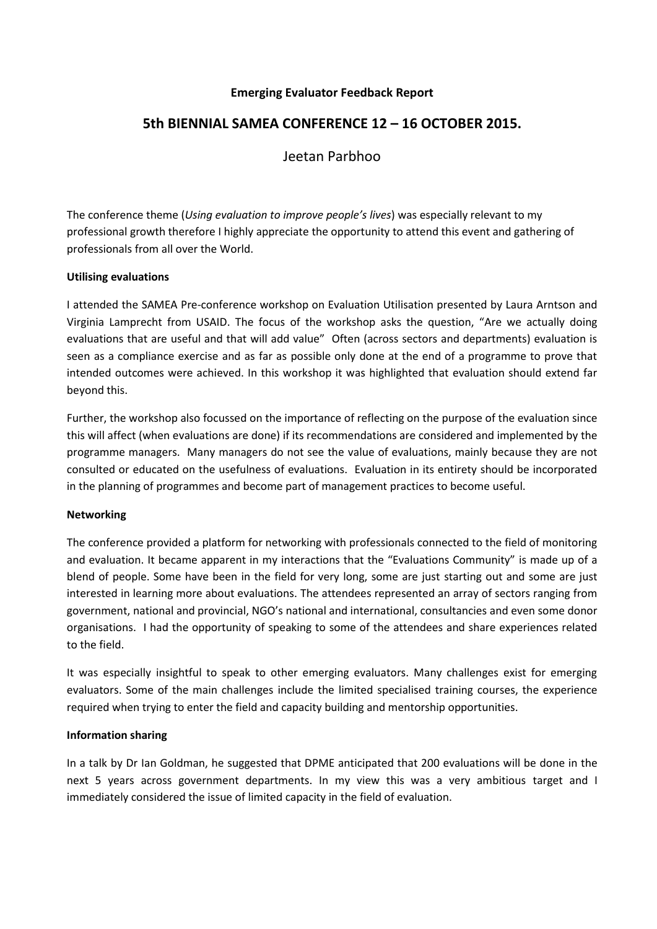## **Emerging Evaluator Feedback Report**

# **5th BIENNIAL SAMEA CONFERENCE 12 – 16 OCTOBER 2015.**

Jeetan Parbhoo

The conference theme (*Using evaluation to improve people's lives*) was especially relevant to my professional growth therefore I highly appreciate the opportunity to attend this event and gathering of professionals from all over the World.

### **Utilising evaluations**

I attended the SAMEA Pre-conference workshop on Evaluation Utilisation presented by Laura Arntson and Virginia Lamprecht from USAID. The focus of the workshop asks the question, "Are we actually doing evaluations that are useful and that will add value" Often (across sectors and departments) evaluation is seen as a compliance exercise and as far as possible only done at the end of a programme to prove that intended outcomes were achieved. In this workshop it was highlighted that evaluation should extend far beyond this.

Further, the workshop also focussed on the importance of reflecting on the purpose of the evaluation since this will affect (when evaluations are done) if its recommendations are considered and implemented by the programme managers. Many managers do not see the value of evaluations, mainly because they are not consulted or educated on the usefulness of evaluations. Evaluation in its entirety should be incorporated in the planning of programmes and become part of management practices to become useful.

### **Networking**

The conference provided a platform for networking with professionals connected to the field of monitoring and evaluation. It became apparent in my interactions that the "Evaluations Community" is made up of a blend of people. Some have been in the field for very long, some are just starting out and some are just interested in learning more about evaluations. The attendees represented an array of sectors ranging from government, national and provincial, NGO's national and international, consultancies and even some donor organisations. I had the opportunity of speaking to some of the attendees and share experiences related to the field.

It was especially insightful to speak to other emerging evaluators. Many challenges exist for emerging evaluators. Some of the main challenges include the limited specialised training courses, the experience required when trying to enter the field and capacity building and mentorship opportunities.

### **Information sharing**

In a talk by Dr Ian Goldman, he suggested that DPME anticipated that 200 evaluations will be done in the next 5 years across government departments. In my view this was a very ambitious target and I immediately considered the issue of limited capacity in the field of evaluation.